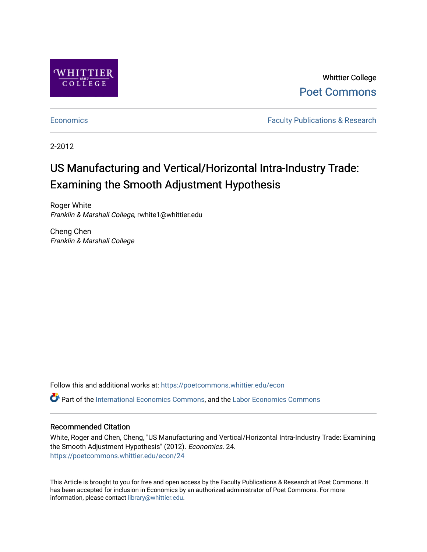

Whittier College [Poet Commons](https://poetcommons.whittier.edu/) 

[Economics](https://poetcommons.whittier.edu/econ) **Faculty Publications & Research** 

2-2012

# US Manufacturing and Vertical/Horizontal Intra-Industry Trade: Examining the Smooth Adjustment Hypothesis

Roger White Franklin & Marshall College, rwhite1@whittier.edu

Cheng Chen Franklin & Marshall College

Follow this and additional works at: [https://poetcommons.whittier.edu/econ](https://poetcommons.whittier.edu/econ?utm_source=poetcommons.whittier.edu%2Fecon%2F24&utm_medium=PDF&utm_campaign=PDFCoverPages)

Part of the [International Economics Commons,](http://network.bepress.com/hgg/discipline/348?utm_source=poetcommons.whittier.edu%2Fecon%2F24&utm_medium=PDF&utm_campaign=PDFCoverPages) and the [Labor Economics Commons](http://network.bepress.com/hgg/discipline/349?utm_source=poetcommons.whittier.edu%2Fecon%2F24&utm_medium=PDF&utm_campaign=PDFCoverPages) 

# Recommended Citation

White, Roger and Chen, Cheng, "US Manufacturing and Vertical/Horizontal Intra-Industry Trade: Examining the Smooth Adjustment Hypothesis" (2012). Economics. 24. [https://poetcommons.whittier.edu/econ/24](https://poetcommons.whittier.edu/econ/24?utm_source=poetcommons.whittier.edu%2Fecon%2F24&utm_medium=PDF&utm_campaign=PDFCoverPages) 

This Article is brought to you for free and open access by the Faculty Publications & Research at Poet Commons. It has been accepted for inclusion in Economics by an authorized administrator of Poet Commons. For more information, please contact [library@whittier.edu.](mailto:library@whittier.edu)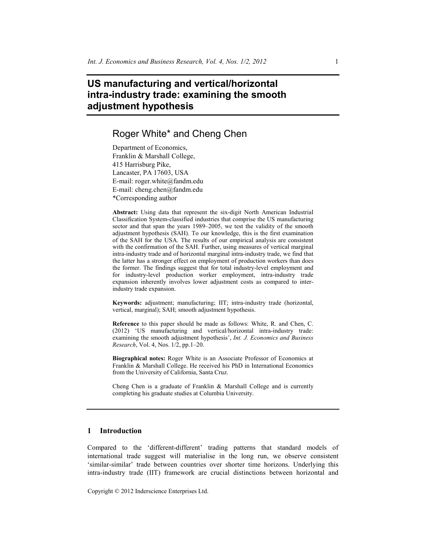# **US manufacturing and vertical/horizontal intra-industry trade: examining the smooth adjustment hypothesis**

# Roger White\* and Cheng Chen

Department of Economics, Franklin & Marshall College, 415 Harrisburg Pike, Lancaster, PA 17603, USA E-mail: roger.white@fandm.edu E-mail: cheng.chen@fandm.edu \*Corresponding author

**Abstract:** Using data that represent the six-digit North American Industrial Classification System-classified industries that comprise the US manufacturing sector and that span the years 1989–2005, we test the validity of the smooth adjustment hypothesis (SAH). To our knowledge, this is the first examination of the SAH for the USA. The results of our empirical analysis are consistent with the confirmation of the SAH. Further, using measures of vertical marginal intra-industry trade and of horizontal marginal intra-industry trade, we find that the latter has a stronger effect on employment of production workers than does the former. The findings suggest that for total industry-level employment and for industry-level production worker employment, intra-industry trade expansion inherently involves lower adjustment costs as compared to interindustry trade expansion.

**Keywords:** adjustment; manufacturing; IIT; intra-industry trade (horizontal, vertical, marginal); SAH; smooth adjustment hypothesis.

**Reference** to this paper should be made as follows: White, R. and Chen, C. (2012) 'US manufacturing and vertical/horizontal intra-industry trade: examining the smooth adjustment hypothesis', *Int. J. Economics and Business Research*, Vol. 4, Nos. 1/2, pp.1–20.

**Biographical notes:** Roger White is an Associate Professor of Economics at Franklin & Marshall College. He received his PhD in International Economics from the University of California, Santa Cruz.

Cheng Chen is a graduate of Franklin & Marshall College and is currently completing his graduate studies at Columbia University.

#### **1 Introduction**

Compared to the 'different-different' trading patterns that standard models of international trade suggest will materialise in the long run, we observe consistent 'similar-similar' trade between countries over shorter time horizons. Underlying this intra-industry trade (IIT) framework are crucial distinctions between horizontal and

Copyright © 2012 Inderscience Enterprises Ltd.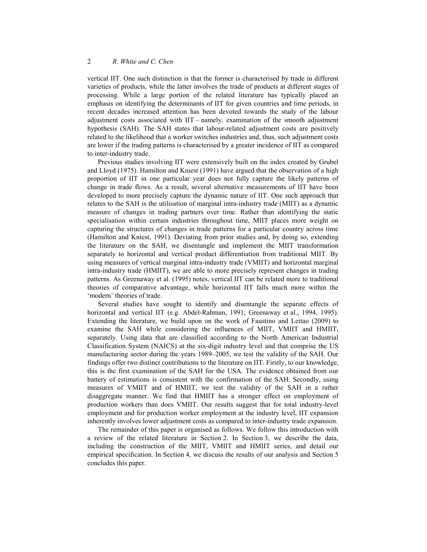vertical IIT. One such distinction is that the former is characterised by trade in different varieties of products, while the latter involves the trade of products at different stages of processing. While a large portion of the related literature has typically placed an emphasis on identifying the determinants of IIT for given countries and time periods, in recent decades increased attention has been devoted towards the study of the labour adjustment costs associated with IIT – namely, examination of the smooth adjustment hypothesis (SAH). The SAH states that labour-related adjustment costs are positively related to the likelihood that a worker switches industries and, thus, such adjustment costs are lower if the trading patterns is characterised by a greater incidence of IIT as compared to inter-industry trade.

Previous studies involving IIT were extensively built on the index created by Grubel and Lloyd (1975). Hamilton and Kniest (1991) have argued that the observation of a high proportion of IIT in one particular year does not fully capture the likely patterns of change in trade flows. As a result, several alternative measurements of IIT have been developed to more precisely capture the dynamic nature of IIT. One such approach that relates to the SAH is the utilisation of marginal intra-industry trade (MIIT) as a dynamic measure of changes in trading partners over time. Rather than identifying the static specialisation within certain industries throughout time, MIIT places more weight on capturing the structures of changes in trade patterns for a particular country across time (Hamilton and Kniest, 1991). Deviating from prior studies and, by doing so, extending the literature on the SAH, we disentangle and implement the MIIT transformation separately to horizontal and vertical product differentiation from traditional MIIT. By using measures of vertical marginal intra-industry trade (VMIIT) and horizontal marginal intra-industry trade (HMIIT), we are able to more precisely represent changes in trading patterns. As Greenaway et al. (1995) notes, vertical IIT can be related more to traditional theories of comparative advantage, while horizontal IIT falls much more within the 'modern' theories of trade.

Several studies have sought to identify and disentangle the separate effects of horizontal and vertical IIT (e.g. Abdel-Rahman, 1991; Greenaway et al., 1994, 1995). Extending the literature, we build upon on the work of Faustino and Leitao (2009) to examine the SAH while considering the influences of MIIT, VMIIT and HMIIT, separately. Using data that are classified according to the North American Industrial Classification System (NAICS) at the six-digit industry level and that comprise the US manufacturing sector during the years 1989–2005, we test the validity of the SAH. Our findings offer two distinct contributions to the literature on IIT. Firstly, to our knowledge, this is the first examination of the SAH for the USA. The evidence obtained from our battery of estimations is consistent with the confirmation of the SAH. Secondly, using measures of VMIIT and of HMIIT, we test the validity of the SAH in a rather disaggregate manner. We find that HMIIT has a stronger effect on employment of production workers than does VMIIT. Our results suggest that for total industry-level employment and for production worker employment at the industry level, IIT expansion inherently involves lower adjustment costs as compared to inter-industry trade expansion.

The remainder of this paper is organised as follows. We follow this introduction with a review of the related literature in Section 2. In Section 3, we describe the data, including the construction of the MIIT, VMIIT and HMIIT series, and detail our empirical specification. In Section 4, we discuss the results of our analysis and Section 5 concludes this paper.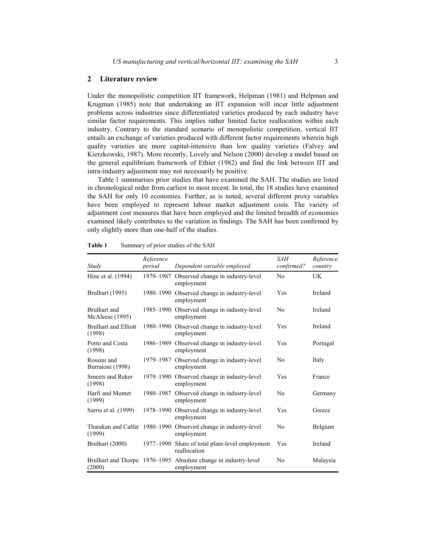#### **2 Literature review**

Under the monopolistic competition IIT framework, Helpman (1981) and Helpman and Krugman (1985) note that undertaking an IIT expansion will incur little adjustment problems across industries since differentiated varieties produced by each industry have similar factor requirements. This implies rather limited factor reallocation within each industry. Contrary to the standard scenario of monopolistic competition, vertical IIT entails an exchange of varieties produced with different factor requirements wherein high quality varieties are more capital-intensive than low quality varieties (Falvey and Kierzkowski, 1987). More recently, Lovely and Nelson (2000) develop a model based on the general equilibrium framework of Ethier (1982) and find the link between IIT and intra-industry adjustment may not necessarily be positive.

Table 1 summarises prior studies that have examined the SAH. The studies are listed in chronological order from earliest to most recent. In total, the 18 studies have examined the SAH for only 10 economies. Further, as is noted, several different proxy variables have been employed to represent labour market adjustment costs. The variety of adjustment cost measures that have been employed and the limited breadth of economies examined likely contributes to the variation in findings. The SAH has been confirmed by only slightly more than one-half of the studies.

Table 1 Summary of prior studies of the SAH

| Study                                 | Reference<br>period | Dependent variable employed                                                   | SAH<br>confirmed? | Reference<br>country |
|---------------------------------------|---------------------|-------------------------------------------------------------------------------|-------------------|----------------------|
| Hine et al. (1994)                    | 1979–1987           | Observed change in industry-level<br>employment                               | N <sub>0</sub>    | UK                   |
| Brulhart (1995)                       | 1980–1990           | Observed change in industry-level<br>employment                               | Yes               | Ireland              |
| Brulhart and<br>McAleese (1995)       |                     | 1985-1990 Observed change in industry-level<br>employment                     | N <sub>0</sub>    | Ireland              |
| <b>Brulhart and Elliott</b><br>(1998) |                     | 1980-1990 Observed change in industry-level<br>employment                     | Yes               | Ireland              |
| Porto and Costa<br>(1998)             |                     | 1986-1989 Observed change in industry-level<br>employment                     | Yes               | Portugal             |
| Rossini and<br>Burratoni (1998)       |                     | 1979–1987 Observed change in industry-level<br>employment                     | N <sub>0</sub>    | Italy                |
| <b>Smeets and Reker</b><br>(1998)     |                     | 1979-1990 Observed change in industry-level<br>employment                     | Yes               | France               |
| Harfi and Montet<br>(1999)            | 1980–1987           | Observed change in industry-level<br>employment                               | N <sub>0</sub>    | Germany              |
| Sarris et al. (1999)                  |                     | 1978-1990 Observed change in industry-level<br>employment                     | Yes               | Greece               |
| (1999)                                |                     | Tharakan and Calfat 1980-1990 Observed change in industry-level<br>employment | N <sub>0</sub>    | Belgium              |
| Brulhart (2000)                       | 1977-1990           | Share of total plant-level employment<br>reallocation                         | Yes               | Ireland              |
| <b>Brulhart and Thorpe</b><br>(2000)  | 1970–1995           | Absolute change in industry-level<br>employment                               | N <sub>0</sub>    | Malaysia             |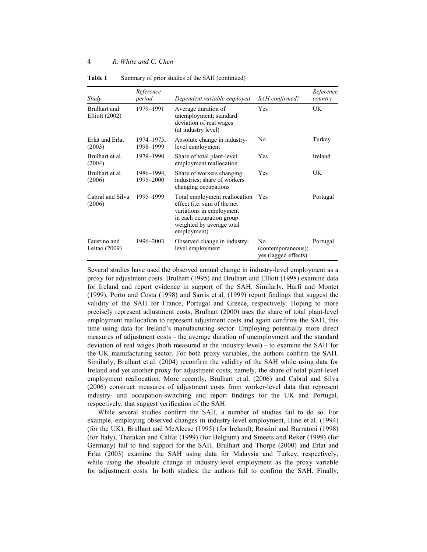| Study                           | Reference<br>period     | Dependent variable employed                                                                                                                                              | SAH confirmed?                                               | Reference<br>country |
|---------------------------------|-------------------------|--------------------------------------------------------------------------------------------------------------------------------------------------------------------------|--------------------------------------------------------------|----------------------|
| Brulhart and<br>Elliott (2002)  | 1979-1991               | Average duration of<br>unemployment; standard<br>deviation of real wages<br>(at industry level)                                                                          | Yes                                                          | UK                   |
| Erlat and Erlat<br>(2003)       | 1974–1975,<br>1998-1999 | Absolute change in industry-<br>level employment                                                                                                                         | N <sub>0</sub>                                               | Turkey               |
| Brulhart et al.<br>(2004)       | 1979-1990               | Share of total plant-level<br>employment reallocation                                                                                                                    | Yes                                                          | Ireland              |
| Brulhart et al.<br>(2006)       | 1986–1994,<br>1995-2000 | Share of workers changing<br>industries; share of workers<br>changing occupations                                                                                        | Yes                                                          | UK                   |
| Cabral and Silva<br>(2006)      | 1995-1999               | Total employment reallocation<br>effect ( <i>i.e.</i> sum of the net<br>variations in employment<br>in each occupation group<br>weighted by average total<br>employment) | Yes                                                          | Portugal             |
| Faustino and<br>Leitao $(2009)$ | 1996-2003               | Observed change in industry-<br>level employment                                                                                                                         | N <sub>0</sub><br>(contemporaneous);<br>yes (lagged effects) | Portugal             |

#### Table 1 Summary of prior studies of the SAH (continued)

Several studies have used the observed annual change in industry-level employment as a proxy for adjustment costs. Brulhart (1995) and Brulhart and Elliott (1998) examine data for Ireland and report evidence in support of the SAH. Similarly, Harfi and Montet (1999), Porto and Costa (1998) and Sarris et al. (1999) report findings that suggest the validity of the SAH for France, Portugal and Greece, respectively. Hoping to more precisely represent adjustment costs, Brulhart (2000) uses the share of total plant-level employment reallocation to represent adjustment costs and again confirms the SAH, this time using data for Ireland's manufacturing sector. Employing potentially more direct measures of adjustment costs – the average duration of unemployment and the standard deviation of real wages (both measured at the industry level) – to examine the SAH for the UK manufacturing sector. For both proxy variables, the authors confirm the SAH. Similarly, Brulhart et al. (2004) reconfirm the validity of the SAH while using data for Ireland and yet another proxy for adjustment costs; namely, the share of total plant-level employment reallocation. More recently, Brulhart et al. (2006) and Cabral and Silva (2006) construct measures of adjustment costs from worker-level data that represent industry- and occupation-switching and report findings for the UK and Portugal, respectively, that suggest verification of the SAH.

While several studies confirm the SAH, a number of studies fail to do so. For example, employing observed changes in industry-level employment, Hine et al. (1994) (for the UK), Brulhart and McAleese (1995) (for Ireland), Rossini and Burratoni (1998) (for Italy), Tharakan and Calfat (1999) (for Belgium) and Smeets and Reker (1999) (for Germany) fail to find support for the SAH. Brulhart and Thorpe (2000) and Erlat and Erlat (2003) examine the SAH using data for Malaysia and Turkey, respectively, while using the absolute change in industry-level employment as the proxy variable for adjustment costs. In both studies, the authors fail to confirm the SAH. Finally,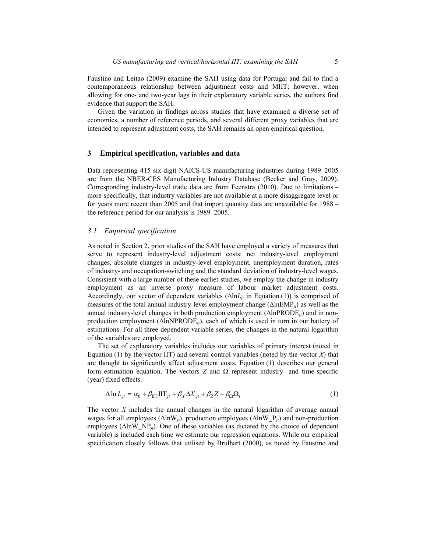Faustino and Leitao (2009) examine the SAH using data for Portugal and fail to find a contemporaneous relationship between adjustment costs and MIIT; however, when allowing for one- and two-year lags in their explanatory variable series, the authors find evidence that support the SAH.

Given the variation in findings across studies that have examined a diverse set of economies, a number of reference periods, and several different proxy variables that are intended to represent adjustment costs, the SAH remains an open empirical question.

#### **3 Empirical specification, variables and data**

Data representing 415 six-digit NAICS-US manufacturing industries during 1989–2005 are from the NBER-CES Manufacturing Industry Database (Becker and Gray, 2009). Corresponding industry-level trade data are from Feenstra (2010). Due to limitations – more specifically, that industry variables are not available at a more disaggregate level or for years more recent than 2005 and that import quantity data are unavailable for 1988 – the reference period for our analysis is 1989–2005.

#### *3.1 Empirical specification*

As noted in Section 2, prior studies of the SAH have employed a variety of measures that serve to represent industry-level adjustment costs: net industry-level employment changes, absolute changes in industry-level employment, unemployment duration, rates of industry- and occupation-switching and the standard deviation of industry-level wages. Consistent with a large number of these earlier studies, we employ the change in industry employment as an inverse proxy measure of labour market adjustment costs. Accordingly, our vector of dependent variables  $(\Delta \ln L_{it}$  in Equation (1)) is comprised of measures of the total annual industry-level employment change  $(\Delta \ln EMP_{it})$  as well as the annual industry-level changes in both production employment  $(\Delta InPRODE<sub>it</sub>)$  and in nonproduction employment ( $\Delta$ lnNPRODE<sub>*it*</sub>), each of which is used in turn in our battery of estimations. For all three dependent variable series, the changes in the natural logarithm of the variables are employed.

The set of explanatory variables includes our variables of primary interest (noted in Equation (1) by the vector IIT) and several control variables (noted by the vector  $X$ ) that are thought to significantly affect adjustment costs. Equation (1) describes our general form estimation equation. The vectors  $Z$  and  $\Omega$  represent industry- and time-specific (year) fixed effects.

$$
\Delta \ln L_{jt} = \alpha_0 + \beta_{\text{III}} \Pi T_{jt} + \beta_X \Delta X_{jt} + \beta_Z Z + \beta_\Omega \Omega_t \tag{1}
$$

The vector *X* includes the annual changes in the natural logarithm of average annual wages for all employees ( $\Delta \ln W_{it}$ ), production employees ( $\Delta \ln W_{it}$ ) and non-production employees ( $\Delta \ln W \ NP_{it}$ ). One of these variables (as dictated by the choice of dependent variable) is included each time we estimate our regression equations. While our empirical specification closely follows that utilised by Brulhart (2000), as noted by Faustino and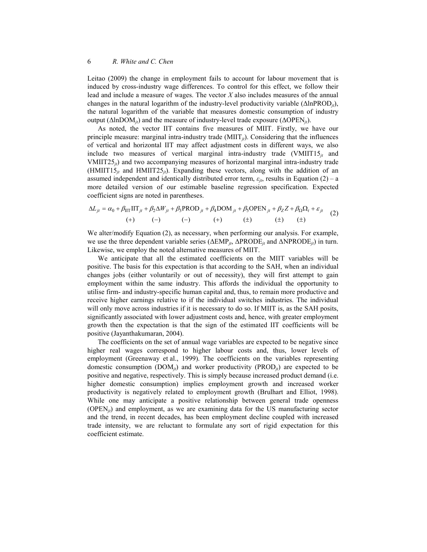Leitao (2009) the change in employment fails to account for labour movement that is induced by cross-industry wage differences. To control for this effect, we follow their lead and include a measure of wages. The vector *X* also includes measures of the annual changes in the natural logarithm of the industry-level productivity variable  $(\Delta \ln \text{PROD}_{it})$ , the natural logarithm of the variable that measures domestic consumption of industry output ( $\triangle InDOM_{it}$ ) and the measure of industry-level trade exposure ( $\triangle OPEN_{it}$ ).

As noted, the vector IIT contains five measures of MIIT. Firstly, we have our principle measure: marginal intra-industry trade  $(MIIT_{ij})$ . Considering that the influences of vertical and horizontal IIT may affect adjustment costs in different ways, we also include two measures of vertical marginal intra-industry trade  $(VMIIT15<sub>it</sub>$  and VMIIT25*jt*) and two accompanying measures of horizontal marginal intra-industry trade  $(HMIIT15<sub>it</sub>$  and  $HMIIT25<sub>it</sub>$ ). Expanding these vectors, along with the addition of an assumed independent and identically distributed error term,  $\varepsilon_{jt}$ , results in Equation (2) – a more detailed version of our estimable baseline regression specification. Expected coefficient signs are noted in parentheses.

$$
\Delta L_{jt} = \alpha_0 + \beta_{\text{IIT}} \text{IIT}_{jt} + \beta_2 \Delta W_{jt} + \beta_3 \text{PROD}_{jt} + \beta_4 \text{DOM}_{jt} + \beta_5 \text{OPEN}_{jt} + \beta_2 Z + \beta_{\Omega} \Omega_t + \varepsilon_{jt}
$$
\n
$$
(+) \qquad (-) \qquad (-) \qquad (+) \qquad (\pm) \qquad (\pm) \qquad (\pm)
$$
\n
$$
(2)
$$

We alter/modify Equation (2), as necessary, when performing our analysis. For example, we use the three dependent variable series  $(\Delta EMP_{it}, \Delta PRODE_{it}$  and  $\Delta NPRODE_{it}$ ) in turn. Likewise, we employ the noted alternative measures of MIIT.

We anticipate that all the estimated coefficients on the MIIT variables will be positive. The basis for this expectation is that according to the SAH, when an individual changes jobs (either voluntarily or out of necessity), they will first attempt to gain employment within the same industry. This affords the individual the opportunity to utilise firm- and industry-specific human capital and, thus, to remain more productive and receive higher earnings relative to if the individual switches industries. The individual will only move across industries if it is necessary to do so. If MIIT is, as the SAH posits, significantly associated with lower adjustment costs and, hence, with greater employment growth then the expectation is that the sign of the estimated IIT coefficients will be positive (Jayanthakumaran, 2004).

The coefficients on the set of annual wage variables are expected to be negative since higher real wages correspond to higher labour costs and, thus, lower levels of employment (Greenaway et al., 1999). The coefficients on the variables representing domestic consumption  $(DOM_{it})$  and worker productivity  $(PROD_{it})$  are expected to be positive and negative, respectively. This is simply because increased product demand (i.e. higher domestic consumption) implies employment growth and increased worker productivity is negatively related to employment growth (Brulhart and Elliot, 1998). While one may anticipate a positive relationship between general trade openness  $(OPEN_{ji})$  and employment, as we are examining data for the US manufacturing sector and the trend, in recent decades, has been employment decline coupled with increased trade intensity, we are reluctant to formulate any sort of rigid expectation for this coefficient estimate.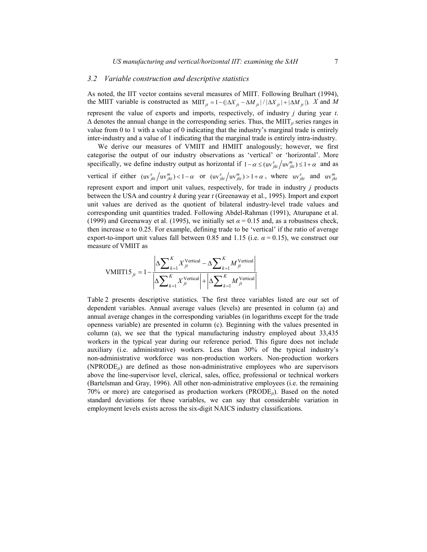#### *3.2 Variable construction and descriptive statistics*

As noted, the IIT vector contains several measures of MIIT. Following Brulhart (1994), the MIIT variable is constructed as  $\text{MIT}_{jt} = 1 - (|\Delta X_{jt} - \Delta M_{jt}| / |\Delta X_{jt}| + |\Delta M_{jt}|).$  *X* and *M* represent the value of exports and imports, respectively, of industry *j* during year *t*.  $\Delta$  denotes the annual change in the corresponding series. Thus, the MIIT<sub>*it*</sub> series ranges in value from 0 to 1 with a value of 0 indicating that the industry's marginal trade is entirely inter-industry and a value of 1 indicating that the marginal trade is entirely intra-industry.

We derive our measures of VMIIT and HMIIT analogously; however, we first categorise the output of our industry observations as 'vertical' or 'horizontal'. More specifically, we define industry output as horizontal if  $1-\alpha \leq (uv_{jkt}^x / uv_{jkt}^m) \leq 1+\alpha$  and as vertical if either  $(uv_{jkt}^x/uv_{jkt}^m) < 1-\alpha$  or  $(uv_{jkt}^x/uv_{jkt}^m) > 1+\alpha$ , where  $uv_{jkt}^x$  and  $uv_{jkt}^m$ represent export and import unit values, respectively, for trade in industry *j* products between the USA and country *k* during year *t* (Greenaway et al., 1995). Import and export unit values are derived as the quotient of bilateral industry-level trade values and corresponding unit quantities traded. Following Abdel-Rahman (1991), Aturupane et al. (1999) and Greenaway et al. (1995), we initially set  $\alpha = 0.15$  and, as a robustness check, then increase  $\alpha$  to 0.25. For example, defining trade to be 'vertical' if the ratio of average export-to-import unit values fall between 0.85 and 1.15 (i.e.  $\alpha = 0.15$ ), we construct our measure of VMIIT as

$$
\text{VMIT15}_{jt} = 1 - \frac{\left| \Delta \sum_{k=1}^{K} X_{jt}^{\text{Vertical}} - \Delta \sum_{k=1}^{K} M_{jt}^{\text{Vertical}} \right|}{\left| \Delta \sum_{k=1}^{K} X_{jt}^{\text{Vertical}} \right| + \left| \Delta \sum_{k=1}^{K} M_{jt}^{\text{Vertical}} \right|}
$$

Table 2 presents descriptive statistics. The first three variables listed are our set of dependent variables. Annual average values (levels) are presented in column (a) and annual average changes in the corresponding variables (in logarithms except for the trade openness variable) are presented in column (c). Beginning with the values presented in column (a), we see that the typical manufacturing industry employed about 33,435 workers in the typical year during our reference period. This figure does not include auxiliary (i.e. administrative) workers. Less than 30% of the typical industry's non-administrative workforce was non-production workers. Non-production workers  $(NPRODE<sub>ij</sub>)$  are defined as those non-administrative employees who are supervisors above the line-supervisor level, clerical, sales, office, professional or technical workers (Bartelsman and Gray, 1996). All other non-administrative employees (i.e. the remaining 70% or more) are categorised as production workers  $(PRODE_{it})$ . Based on the noted standard deviations for these variables, we can say that considerable variation in employment levels exists across the six-digit NAICS industry classifications.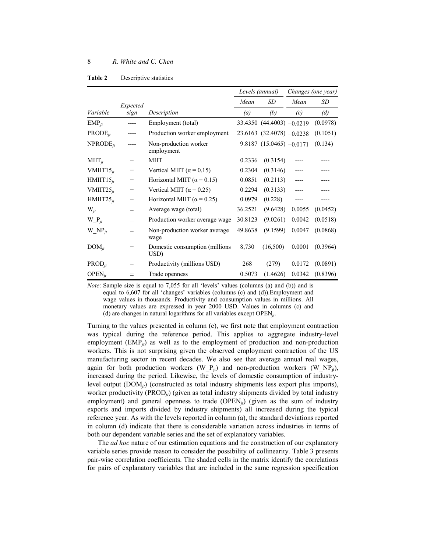|                   |          |                                        |         | Levels (annual)                 |        | Changes (one year) |
|-------------------|----------|----------------------------------------|---------|---------------------------------|--------|--------------------|
|                   | Expected |                                        | Mean    | SD                              | Mean   | SD                 |
| Variable          | sign     | Description                            | (a)     | (b)                             | (c)    | (d)                |
| $EMP_{it}$        |          | Employment (total)                     |         | 33.4350 (44.4003) -0.0219       |        | (0.0978)           |
| $PRODE_{it}$      | ----     | Production worker employment           |         | $23.6163$ $(32.4078)$ $-0.0238$ |        | (0.1051)           |
| $NPRODE_{it}$     |          | Non-production worker<br>employment    |         | $9.8187$ (15.0465) $-0.0171$    |        | (0.134)            |
| $\text{MIT}_{it}$ | $+$      | <b>MIIT</b>                            | 0.2336  | (0.3154)                        |        |                    |
| VMIIT $15_{it}$   | $^{+}$   | Vertical MIIT ( $\alpha$ = 0.15)       | 0.2304  | (0.3146)                        |        |                    |
| HMIIT $15_{it}$   | $^{+}$   | Horizontal MIIT ( $\alpha$ = 0.15)     | 0.0851  | (0.2113)                        |        |                    |
| VMIIT $25_{it}$   | $^{+}$   | Vertical MIIT ( $\alpha$ = 0.25)       | 0.2294  | (0.3133)                        |        |                    |
| HMIIT25 $_{it}$   | $^{+}$   | Horizontal MIIT ( $\alpha$ = 0.25)     | 0.0979  | (0.228)                         |        |                    |
| $W_{it}$          |          | Average wage (total)                   | 36.2521 | (9.6428)                        | 0.0055 | (0.0452)           |
| $W_P_{it}$        |          | Production worker average wage         | 30.8123 | (9.0261)                        | 0.0042 | (0.0518)           |
| $W_NP_{it}$       |          | Non-production worker average<br>wage  | 49.8638 | (9.1599)                        | 0.0047 | (0.0868)           |
| $DOM_{it}$        | $^{+}$   | Domestic consumption (millions<br>USD) | 8,730   | (16,500)                        | 0.0001 | (0.3964)           |
| $PROD_{it}$       |          | Productivity (millions USD)            | 268     | (279)                           | 0.0172 | (0.0891)           |
| $OPEN_{it}$       | $\pm$    | Trade openness                         | 0.5073  | (1.4626)                        | 0.0342 | (0.8396)           |

*Note*: Sample size is equal to 7,055 for all 'levels' values (columns (a) and (b)) and is equal to 6,607 for all 'changes' variables (columns (c) and (d)).Employment and wage values in thousands. Productivity and consumption values in millions. All monetary values are expressed in year 2000 USD. Values in columns (c) and (d) are changes in natural logarithms for all variables except OPEN*jt*.

Turning to the values presented in column (c), we first note that employment contraction was typical during the reference period. This applies to aggregate industry-level employment  $(EMP_{ji})$  as well as to the employment of production and non-production workers. This is not surprising given the observed employment contraction of the US manufacturing sector in recent decades. We also see that average annual real wages, again for both production workers  $(W_P_{it})$  and non-production workers  $(W_P_{it})$ , increased during the period. Likewise, the levels of domestic consumption of industrylevel output  $(DOM_{ii})$  (constructed as total industry shipments less export plus imports), worker productivity (PROD<sub>*ii*</sub>) (given as total industry shipments divided by total industry employment) and general openness to trade  $(OPEN<sub>it</sub>)$  (given as the sum of industry exports and imports divided by industry shipments) all increased during the typical reference year. As with the levels reported in column (a), the standard deviations reported in column (d) indicate that there is considerable variation across industries in terms of both our dependent variable series and the set of explanatory variables.

The *ad hoc* nature of our estimation equations and the construction of our explanatory variable series provide reason to consider the possibility of collinearity. Table 3 presents pair-wise correlation coefficients. The shaded cells in the matrix identify the correlations for pairs of explanatory variables that are included in the same regression specification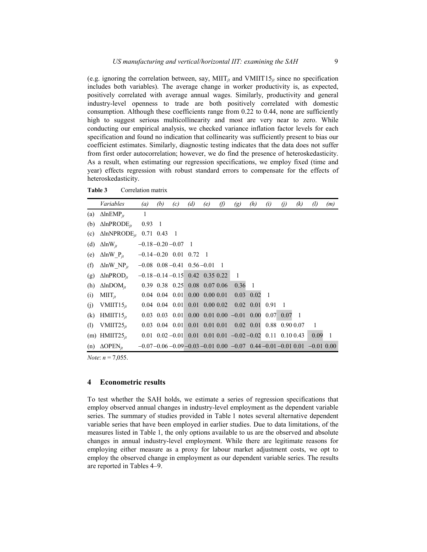(e.g. ignoring the correlation between, say,  $MIII<sub>j</sub>$  and  $VMIII<sup>15</sup>$ *j<sub>i</sub>* since no specification includes both variables). The average change in worker productivity is, as expected, positively correlated with average annual wages. Similarly, productivity and general industry-level openness to trade are both positively correlated with domestic consumption. Although these coefficients range from 0.22 to 0.44, none are sufficiently high to suggest serious multicollinearity and most are very near to zero. While conducting our empirical analysis, we checked variance inflation factor levels for each specification and found no indication that collinearity was sufficiently present to bias our coefficient estimates. Similarly, diagnostic testing indicates that the data does not suffer from first order autocorrelation; however, we do find the presence of heteroskedasticity. As a result, when estimating our regression specifications, we employ fixed (time and year) effects regression with robust standard errors to compensate for the effects of heteroskedasticity.

**Table 3** Correlation matrix

|     | Variables                                       | (a)                                  | (b)                      | (c) | (d)                           | (e) | O)  | $\left(g\right)$                                                                              | (h)               | (i)            | $\left( i\right)$ | (k)            | $\left( l\right)$ | (m)          |
|-----|-------------------------------------------------|--------------------------------------|--------------------------|-----|-------------------------------|-----|-----|-----------------------------------------------------------------------------------------------|-------------------|----------------|-------------------|----------------|-------------------|--------------|
| (a) | $\Delta$ lnEMP <sub>it</sub>                    | 1                                    |                          |     |                               |     |     |                                                                                               |                   |                |                   |                |                   |              |
| (b) | $\Delta$ lnPRODE <sub>it</sub>                  | 0.93                                 | $\overline{1}$           |     |                               |     |     |                                                                                               |                   |                |                   |                |                   |              |
|     | (c) $\Delta$ lnNPRODE <sub>it</sub> 0.71 0.43 1 |                                      |                          |     |                               |     |     |                                                                                               |                   |                |                   |                |                   |              |
|     | (d) $\Delta \ln W_{it}$                         | $-0.18 - 0.20 - 0.07$                |                          |     | $\overline{\phantom{a}}$      |     |     |                                                                                               |                   |                |                   |                |                   |              |
| (e) | $\Delta$ lnW $P_{it}$                           | $-0.14 - 0.20$ 0.01 0.72 1           |                          |     |                               |     |     |                                                                                               |                   |                |                   |                |                   |              |
| (f) | $\Delta$ lnW NP <sub>it</sub>                   | $-0.08$ $0.08 - 0.41$ $0.56 - 0.01$  |                          |     |                               |     | - 1 |                                                                                               |                   |                |                   |                |                   |              |
| (g) | $\Delta$ lnPROD <sub>it</sub>                   | $-0.18 - 0.14 - 0.15$ 0.42 0.35 0.22 |                          |     |                               |     |     | -1                                                                                            |                   |                |                   |                |                   |              |
| (h) | $\Delta$ ln $DOM_{it}$                          |                                      |                          |     | 0.39 0.38 0.25 0.08 0.07 0.06 |     |     | $0.36 \quad 1$                                                                                |                   |                |                   |                |                   |              |
| (i) | $\text{MIT}_{it}$                               |                                      | $0.04$ 0.04 0.01         |     | $0.00 \quad 0.00 \quad 0.01$  |     |     |                                                                                               | $0.03 \quad 0.02$ | $\overline{1}$ |                   |                |                   |              |
|     | (j) VMIIT15 $_{it}$                             |                                      | $0.04$ 0.04 0.01         |     | $0.01 \quad 0.00 \quad 0.02$  |     |     | $0.02 \quad 0.01$                                                                             |                   | $0.91 \quad 1$ |                   |                |                   |              |
|     | (k) HMIIT15 $_{it}$                             |                                      | $0.03$ 0.03 0.01         |     |                               |     |     | $0.00 \quad 0.01 \quad 0.00 \quad -0.01 \quad 0.00$                                           |                   | 0.07 0.07      |                   | $\overline{1}$ |                   |              |
|     | (1) VMIIT25 $_{it}$                             |                                      | $0.03$ 0.04 0.01         |     | $0.01$ $0.01$ $0.01$          |     |     | $0.02 \quad 0.01$                                                                             |                   | 0.88 0.90 0.07 |                   |                |                   |              |
|     | (m) HMIIT25 $_{it}$                             |                                      | $0.01 \quad 0.02 - 0.01$ |     |                               |     |     | $0.01$ $0.01$ $0.01$ $-0.02$ $-0.02$ $0.11$ $0.10$ $0.43$                                     |                   |                |                   |                | 0.09              | $\mathbf{1}$ |
|     | (n) $\triangle$ OPEN <sub>it</sub>              |                                      |                          |     |                               |     |     | $-0.07 - 0.06 - 0.09 - 0.03 - 0.01$ $0.00$ $-0.07$ $0.44 - 0.01 - 0.01$ $0.01$ $-0.01$ $0.00$ |                   |                |                   |                |                   |              |

*Note*: *n* = 7,055.

#### **4 Econometric results**

To test whether the SAH holds, we estimate a series of regression specifications that employ observed annual changes in industry-level employment as the dependent variable series. The summary of studies provided in Table 1 notes several alternative dependent variable series that have been employed in earlier studies. Due to data limitations, of the measures listed in Table 1, the only options available to us are the observed and absolute changes in annual industry-level employment. While there are legitimate reasons for employing either measure as a proxy for labour market adjustment costs, we opt to employ the observed change in employment as our dependent variable series. The results are reported in Tables 4–9.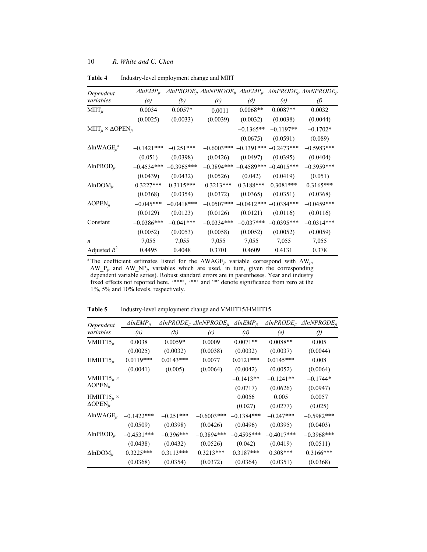| Dependent                                        | $\triangle$ InEMP <sub>jt</sub> |              |               |              |                        | $\triangle$ InPRODE <sub>it</sub> $\triangle$ InNPRODE <sub>it</sub> $\triangle$ InEMP <sub>it</sub> $\triangle$ InPRODE <sub>it</sub> $\triangle$ InNPRODE <sub>it</sub> |
|--------------------------------------------------|---------------------------------|--------------|---------------|--------------|------------------------|---------------------------------------------------------------------------------------------------------------------------------------------------------------------------|
| variables                                        | $\left(a\right)$                | (b)          | (c)           | (d)          | (e)                    | O)                                                                                                                                                                        |
| $\text{MIT}_{it}$                                | 0.0034                          | $0.0057*$    | $-0.0011$     | $0.0068**$   | $0.0087**$             | 0.0032                                                                                                                                                                    |
|                                                  | (0.0025)                        | (0.0033)     | (0.0039)      | (0.0032)     | (0.0038)               | (0.0044)                                                                                                                                                                  |
| $\text{MIT}_{jt} \times \Delta \text{OPEN}_{jt}$ |                                 |              |               | $-0.1365**$  | $-0.1197**$            | $-0.1702*$                                                                                                                                                                |
|                                                  |                                 |              |               | (0.0675)     | (0.0591)               | (0.089)                                                                                                                                                                   |
| $\Delta$ lnWAGE <sub>it</sub> <sup>a</sup>       | $-0.1421***$                    | $-0.251***$  | $-0.6003$ *** | $-0.1391***$ | $-0.2473***$           | $-0.5983***$                                                                                                                                                              |
|                                                  | (0.051)                         | (0.0398)     | (0.0426)      | (0.0497)     | (0.0395)               | (0.0404)                                                                                                                                                                  |
| $\Delta$ lnPROD <sub>it</sub>                    | $-0.4534***$                    | $-0.3965***$ | $-0.3894***$  |              | $-0.4589***-0.4015***$ | $-0.3959***$                                                                                                                                                              |
|                                                  | (0.0439)                        | (0.0432)     | (0.0526)      | (0.042)      | (0.0419)               | (0.051)                                                                                                                                                                   |
| $\Delta$ lnDOM <sub>it</sub>                     | $0.3227***$                     | $0.3115***$  | $0.3213***$   | 0.3188***    | $0.3081***$            | $0.3165***$                                                                                                                                                               |
|                                                  | (0.0368)                        | (0.0354)     | (0.0372)      | (0.0365)     | (0.0351)               | (0.0368)                                                                                                                                                                  |
| $\Delta$ OPEN <sub>it</sub>                      | $-0.045***$                     | $-0.0418***$ | $-0.0507***$  | $-0.0412***$ | $-0.0384***$           | $-0.0459***$                                                                                                                                                              |
|                                                  | (0.0129)                        | (0.0123)     | (0.0126)      | (0.0121)     | (0.0116)               | (0.0116)                                                                                                                                                                  |
| Constant                                         | $-0.0386***$                    | $-0.041***$  | $-0.0334***$  | $-0.037***$  | $-0.0395***$           | $-0.0314***$                                                                                                                                                              |
|                                                  | (0.0052)                        | (0.0053)     | (0.0058)      | (0.0052)     | (0.0052)               | (0.0059)                                                                                                                                                                  |
| $\boldsymbol{n}$                                 | 7,055                           | 7,055        | 7,055         | 7,055        | 7,055                  | 7,055                                                                                                                                                                     |
| Adjusted $R^2$                                   | 0.4495                          | 0.4048       | 0.3701        | 0.4609       | 0.4131                 | 0.378                                                                                                                                                                     |

**Table 4** Industry-level employment change and MIIT

<sup>a</sup> The coefficient estimates listed for the  $\Delta W \text{AGE}_{jt}$  variable correspond with  $\Delta W_{jt}$ ,  $\Delta W_P$ <sub>*jt*</sub> and  $\Delta W_N$ P<sub>*jt*</sub> variables which are used, in turn, given the corresponding dependent variable series). Robust standard errors are in parentheses. Year and industry fixed effects not reported here. '\*\*\*', '\*\*' and '\*' denote significance from zero at the 1%, 5% and 10% levels, respectively.

|  | <b>Table 5</b> |  | Industry-level employment change and VMIIT15/HMIIT15 |  |
|--|----------------|--|------------------------------------------------------|--|
|--|----------------|--|------------------------------------------------------|--|

| Dependent                     | $\triangle$ lnEMP <sub>it</sub> |             | $\triangle$ lnPRODE <sub>it</sub> $\triangle$ lnNPRODE <sub>it</sub> | $\triangle$ lnEMP <sub>it</sub> | $\triangle InPRODE_{it}$ | $\triangle InNPRODE_{it}$ |
|-------------------------------|---------------------------------|-------------|----------------------------------------------------------------------|---------------------------------|--------------------------|---------------------------|
| variables                     | (a)                             | (b)         | (c)                                                                  | (d)                             | (e)                      | (f)                       |
| VMIIT $15_{it}$               | 0.0038                          | $0.0059*$   | 0.0009                                                               | $0.0071**$                      | $0.0088**$               | 0.005                     |
|                               | (0.0025)                        | (0.0032)    | (0.0038)                                                             | (0.0032)                        | (0.0037)                 | (0.0044)                  |
| HMIIT $15_{it}$               | $0.0119***$                     | $0.0143***$ | 0.0077                                                               | $0.0121***$                     | $0.0145***$              | 0.008                     |
|                               | (0.0041)                        | (0.005)     | (0.0064)                                                             | (0.0042)                        | (0.0052)                 | (0.0064)                  |
| VMIIT $15_{it}$ ×             |                                 |             |                                                                      | $-0.1413**$                     | $-0.1241**$              | $-0.1744*$                |
| $\Delta$ OPEN <sub>jt</sub>   |                                 |             |                                                                      | (0.0717)                        | (0.0626)                 | (0.0947)                  |
| HMIIT $15_{it}$ ×             |                                 |             |                                                                      | 0.0056                          | 0.005                    | 0.0057                    |
| $\Delta$ OPEN <sub>jt</sub>   |                                 |             |                                                                      | (0.027)                         | (0.0277)                 | (0.025)                   |
| $\Delta$ lnWAGE <sub>it</sub> | $-0.1422$ ***                   | $-0.251***$ | $-0.6003$ ***                                                        | $-0.1384***$                    | $-0.247***$              | $-0.5982***$              |
|                               | (0.0509)                        | (0.0398)    | (0.0426)                                                             | (0.0496)                        | (0.0395)                 | (0.0403)                  |
| $\Delta$ lnPROD <sub>it</sub> | $-0.4531***$                    | $-0.396***$ | $-0.3894***$                                                         | $-0.4595***$                    | $-0.4017***$             | $-0.3968***$              |
|                               | (0.0438)                        | (0.0432)    | (0.0526)                                                             | (0.042)                         | (0.0419)                 | (0.0511)                  |
| $\Delta$ lnDOM <sub>it</sub>  | $0.3225***$                     | $0.3113***$ | $0.3213***$                                                          | $0.3187***$                     | $0.308***$               | $0.3166***$               |
|                               | (0.0368)                        | (0.0354)    | (0.0372)                                                             | (0.0364)                        | (0.0351)                 | (0.0368)                  |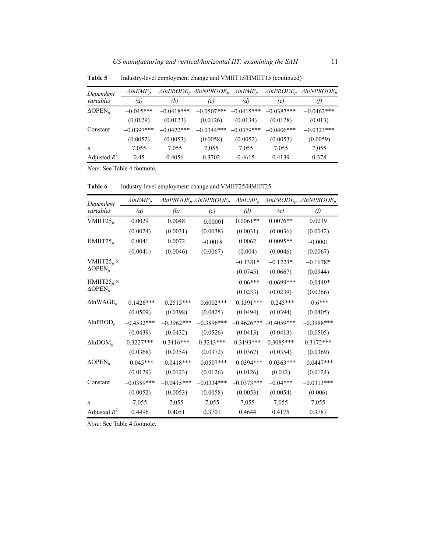| Dependent                   | $\triangle$ lnEMP <sub>it</sub> |               | $\triangle$ lnPRODE <sub>it</sub> $\triangle$ lnNPRODE <sub>it</sub> $\triangle$ lnEMP <sub>it</sub> |              | $\triangle$ lnPRODE <sub>it</sub> | $\triangle InNPRODE_{it}$ |
|-----------------------------|---------------------------------|---------------|------------------------------------------------------------------------------------------------------|--------------|-----------------------------------|---------------------------|
| variables                   | (a)                             | (b)           | (c)                                                                                                  | (d)          | (e)                               | (f)                       |
| $\Delta$ OPEN <sub>it</sub> | $-0.045***$                     | $-0.0418***$  | $-0.0507$ ***                                                                                        | $-0.0415***$ | $-0.0387***$                      | $-0.0462$ ***             |
|                             | (0.0129)                        | (0.0123)      | (0.0126)                                                                                             | (0.0134)     | (0.0128)                          | (0.013)                   |
| Constant                    | $-0.0397***$                    | $-0.0422$ *** | $-0.0344***$                                                                                         | $-0.0379***$ | $-0.0406$ ***                     | $-0.0323***$              |
|                             | (0.0052)                        | (0.0053)      | (0.0058)                                                                                             | (0.0052)     | (0.0053)                          | (0.0059)                  |
| n                           | 7,055                           | 7,055         | 7,055                                                                                                | 7,055        | 7,055                             | 7,055                     |
| Adjusted $R^2$              | 0.45                            | 0.4056        | 0.3702                                                                                               | 0.4615       | 0.4139                            | 0.378                     |

Table 5 Industry-level employment change and VMIIT15/HMIIT15 (continued)

*Note*: See Table 4 footnote.

**Table 6** Industry-level employment change and VMIIT25/HMIIT25

| Dependent                     | $\triangle InEMP_{jt}$ |              | $\triangle$ InPRODE <sub>jt</sub> $\triangle$ InNPRODE <sub>jt</sub> $\triangle$ InEMP <sub>jt</sub> |              |              | $\triangle$ InPRODE <sub>jt</sub> $\triangle$ InNPRODE <sub>jt</sub> |
|-------------------------------|------------------------|--------------|------------------------------------------------------------------------------------------------------|--------------|--------------|----------------------------------------------------------------------|
| variables                     | (a)                    | (b)          | (c)                                                                                                  | (d)          | (e)          | $\vartheta$                                                          |
| VMIIT25 $_{it}$               | 0.0029                 | 0.0048       | $-0.00001$                                                                                           | $0.0061**$   | $0.0076**$   | 0.0039                                                               |
|                               | (0.0024)               | (0.0031)     | (0.0038)                                                                                             | (0.0031)     | (0.0036)     | (0.0042)                                                             |
| HMIIT25 $_{it}$               | 0.0041                 | 0.0072       | $-0.0018$                                                                                            | 0.0062       | $0.0095**$   | $-0.0001$                                                            |
|                               | (0.0041)               | (0.0046)     | (0.0067)                                                                                             | (0.004)      | (0.0046)     | (0.0067)                                                             |
| VMIIT25 $_{it}$ ×             |                        |              |                                                                                                      | $-0.1381*$   | $-0.1223*$   | $-0.1678*$                                                           |
| $\Delta$ OPEN <sub>it</sub>   |                        |              |                                                                                                      | (0.0745)     | (0.0667)     | (0.0944)                                                             |
| HMIIT25 $_{it}$ ×             |                        |              |                                                                                                      | $-0.06***$   | $-0.0699***$ | $-0.0449*$                                                           |
| $\Delta$ OPEN <sub>it</sub>   |                        |              |                                                                                                      | (0.0233)     | (0.0239)     | (0.0266)                                                             |
| $\Delta$ lnWAGE <sub>it</sub> | $-0.1426***$           | $-0.2515***$ | $-0.6002$ ***                                                                                        | $-0.1391***$ | $-0.245***$  | $-0.6***$                                                            |
|                               | (0.0509)               | (0.0398)     | (0.0425)                                                                                             | (0.0494)     | (0.0394)     | (0.0405)                                                             |
| $\Delta$ lnPROD <sub>it</sub> | $-0.4532***$           | $-0.3962***$ | $-0.3896***$                                                                                         | $-0.4626***$ | $-0.4059***$ | $-0.3988***$                                                         |
|                               | (0.0439)               | (0.0432)     | (0.0526)                                                                                             | (0.0413)     | (0.0413)     | (0.0505)                                                             |
| $\Delta$ lnDOM <sub>it</sub>  | $0.3227***$            | $0.3116***$  | $0.3213***$                                                                                          | $0.3193***$  | $0.3085***$  | $0.3172***$                                                          |
|                               | (0.0368)               | (0.0354)     | (0.0372)                                                                                             | (0.0367)     | (0.0354)     | (0.0369)                                                             |
| $\Delta {\rm OPEN}_{it}$      | $-0.045***$            | $-0.0418***$ | $-0.0507***$                                                                                         | $-0.0394***$ | $-0.0363***$ | $-0.0447***$                                                         |
|                               | (0.0129)               | (0.0123)     | (0.0126)                                                                                             | (0.0126)     | (0.012)      | (0.0124)                                                             |
| Constant                      | $-0.0389***$           | $-0.0415***$ | $-0.0334***$                                                                                         | $-0.0373***$ | $-0.04***$   | $-0.0313***$                                                         |
|                               | (0.0052)               | (0.0053)     | (0.0058)                                                                                             | (0.0053)     | (0.0054)     | (0.006)                                                              |
| $\boldsymbol{n}$              | 7,055                  | 7,055        | 7,055                                                                                                | 7,055        | 7,055        | 7,055                                                                |
| Adjusted $R^2$                | 0.4496                 | 0.4051       | 0.3701                                                                                               | 0.4644       | 0.4175       | 0.3787                                                               |

*Note*: See Table 4 footnote.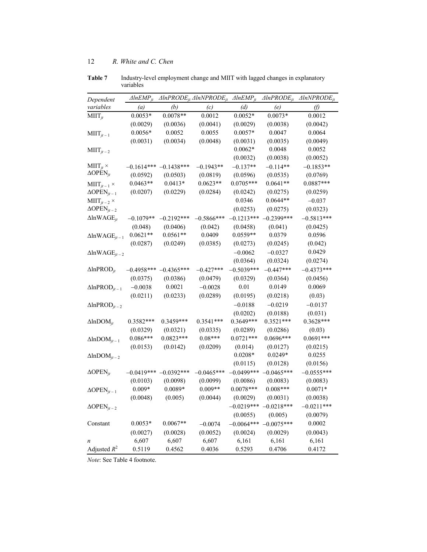**Table 7** Industry-level employment change and MIIT with lagged changes in explanatory variables

| Dependent                          | $\varDelta lnEMP_{it}$ |              | $\triangle$ lnPRODE <sub>it</sub> $\triangle$ lnNPRODE <sub>it</sub> $\triangle$ lnEMP <sub>it</sub> |              | $\triangle$ lnPRODE <sub>it</sub> | $\triangle$ lnNPRODE <sub>it</sub> |
|------------------------------------|------------------------|--------------|------------------------------------------------------------------------------------------------------|--------------|-----------------------------------|------------------------------------|
| variables                          | $\left(a\right)$       | (b)          | (c)                                                                                                  | (d)          | (e)                               | (f)                                |
| $\text{MIT}_{it}$                  | $0.0053*$              | $0.0078**$   | 0.0012                                                                                               | $0.0052*$    | $0.0073*$                         | 0.0012                             |
|                                    | (0.0029)               | (0.0036)     | (0.0041)                                                                                             | (0.0029)     | (0.0038)                          | (0.0042)                           |
| $\text{MIT}_{it-1}$                | $0.0056*$              | 0.0052       | 0.0055                                                                                               | $0.0057*$    | 0.0047                            | 0.0064                             |
|                                    | (0.0031)               | (0.0034)     | (0.0048)                                                                                             | (0.0031)     | (0.0035)                          | (0.0049)                           |
| $\text{MIT}_{it-2}$                |                        |              |                                                                                                      | $0.0062*$    | 0.0048                            | 0.0052                             |
|                                    |                        |              |                                                                                                      | (0.0032)     | (0.0038)                          | (0.0052)                           |
| $\text{MIT}_{it} \times$           | $-0.1614***$           | $-0.1438***$ | $-0.1943**$                                                                                          | $-0.137**$   | $-0.114**$                        | $-0.1853**$                        |
| $\Delta$ OPEN <sub>jt</sub>        | (0.0592)               | (0.0503)     | (0.0819)                                                                                             | (0.0596)     | (0.0535)                          | (0.0769)                           |
| $\text{MIT}_{jt-1}$ ×              | $0.0463**$             | $0.0413*$    | $0.0623**$                                                                                           | $0.0705***$  | $0.0641**$                        | $0.0887***$                        |
| $\triangle$ OPEN <sub>jt – 1</sub> | (0.0207)               | (0.0229)     | (0.0284)                                                                                             | (0.0242)     | (0.0275)                          | (0.0259)                           |
| $\text{MIT}_{jt-2}$ ×              |                        |              |                                                                                                      | 0.0346       | $0.0644**$                        | $-0.037$                           |
| $\triangle$ OPEN <sub>jt-2</sub>   |                        |              |                                                                                                      | (0.0253)     | (0.0275)                          | (0.0323)                           |
| $\Delta$ lnWAGE <sub>it</sub>      | $-0.1079**$            | $-0.2192***$ | $-0.5866***$                                                                                         | $-0.1213***$ | $-0.2399***$                      | $-0.5813***$                       |
|                                    | (0.048)                | (0.0406)     | (0.042)                                                                                              | (0.0458)     | (0.041)                           | (0.0425)                           |
| $\Delta$ lnWAGE <sub>jt-1</sub>    | $0.0621**$             | $0.0561**$   | 0.0409                                                                                               | 0.0559**     | 0.0379                            | 0.0596                             |
|                                    | (0.0287)               | (0.0249)     | (0.0385)                                                                                             | (0.0273)     | (0.0245)                          | (0.042)                            |
| $\Delta$ lnWAGE <sub>jt-2</sub>    |                        |              |                                                                                                      | $-0.0062$    | $-0.0327$                         | 0.0429                             |
|                                    |                        |              |                                                                                                      | (0.0364)     | (0.0324)                          | (0.0274)                           |
| $\Delta$ lnPROD <sub>it</sub>      | $-0.4958***$           | $0.4365***$  | $-0.427***$                                                                                          | $-0.5039***$ | $-0.447***$                       | $-0.4373***$                       |
|                                    | (0.0375)               | (0.0386)     | (0.0479)                                                                                             | (0.0329)     | (0.0364)                          | (0.0456)                           |
| $\Delta$ lnPROD <sub>it-1</sub>    | $-0.0038$              | 0.0021       | $-0.0028$                                                                                            | 0.01         | 0.0149                            | 0.0069                             |
|                                    | (0.0211)               | (0.0233)     | (0.0289)                                                                                             | (0.0195)     | (0.0218)                          | (0.03)                             |
| $\Delta$ lnPROD <sub>jt-2</sub>    |                        |              |                                                                                                      | $-0.0188$    | $-0.0219$                         | $-0.0137$                          |
|                                    |                        |              |                                                                                                      | (0.0202)     | (0.0188)                          | (0.031)                            |
| $\Delta$ ln $DOM_{jt}$             | $0.3582***$            | $0.3459***$  | $0.3541***$                                                                                          | $0.3649***$  | $0.3521***$                       | $0.3628***$                        |
|                                    | (0.0329)               | (0.0321)     | (0.0335)                                                                                             | (0.0289)     | (0.0286)                          | (0.03)                             |
| $\Delta$ ln $DOM_{jt-1}$           | $0.086***$             | $0.0823***$  | $0.08***$                                                                                            | $0.0721***$  | $0.0696***$                       | $0.0691***$                        |
|                                    | (0.0153)               | (0.0142)     | (0.0209)                                                                                             | (0.014)      | (0.0127)                          | (0.0215)                           |
| $\Delta$ lnDOM <sub>jt-2</sub>     |                        |              |                                                                                                      | $0.0208*$    | $0.0249*$                         | 0.0255                             |
|                                    |                        |              |                                                                                                      | (0.0115)     | (0.0128)                          | (0.0156)                           |
| $\Delta$ OPEN <sub>it</sub>        | $-0.0419***$           | $0.0392***$  | $-0.0465***$                                                                                         | $-0.0499***$ | $-0.0465***$                      | $-0.0555***$                       |
|                                    | (0.0103)               | (0.0098)     | (0.0099)                                                                                             | (0.0086)     | (0.0083)                          | (0.0083)                           |
| $\triangle$ OPEN <sub>it-1</sub>   | $0.009*$               | $0.0089*$    | $0.009**$                                                                                            | $0.0078***$  | $0.008***$                        | $0.0071*$                          |
|                                    | (0.0048)               | (0.005)      | (0.0044)                                                                                             | (0.0029)     | (0.0031)                          | (0.0038)                           |
| $\Delta$ OPEN <sub>jt-2</sub>      |                        |              |                                                                                                      | $-0.0219***$ | $-0.0218***$                      | $-0.0211***$                       |
|                                    |                        |              |                                                                                                      | (0.0055)     | (0.005)                           | (0.0079)                           |
| Constant                           | $0.0053*$              | $0.0067**$   | $-0.0074$                                                                                            | $-0.0064***$ | $-0.0075***$                      | 0.0002                             |
|                                    | (0.0027)               | (0.0028)     | (0.0052)                                                                                             | (0.0024)     | (0.0029)                          | (0.0043)                           |
| $\boldsymbol{n}$                   | 6,607                  | 6,607        | 6,607                                                                                                | 6,161        | 6,161                             | 6,161                              |
| Adjusted $R^2$                     | 0.5119                 | 0.4562       | 0.4036                                                                                               | 0.5293       | 0.4706                            | 0.4172                             |

*Note*: See Table 4 footnote.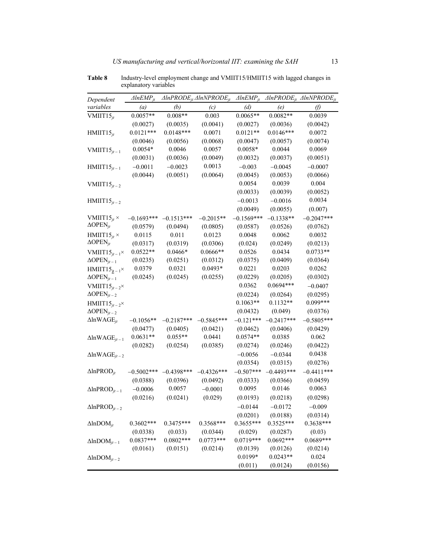| Dependent                          | $\triangle l$ n $EMP_{it}$ |              | $\triangle$ lnPRODE <sub>it</sub> $\triangle$ lnNPRODE <sub>it</sub> | $\triangle InEMP_{it}$ |              | $\triangle$ InPRODE <sub>it</sub> $\triangle$ InNPRODE <sub>it</sub> |
|------------------------------------|----------------------------|--------------|----------------------------------------------------------------------|------------------------|--------------|----------------------------------------------------------------------|
| variables                          | (a)                        | (b)          | (c)                                                                  | (d)                    | (e)          | $\varnothing$                                                        |
| VMIIT $15_{it}$                    | $0.0057**$                 | $0.008**$    | 0.003                                                                | $0.0065**$             | $0.0082**$   | 0.0039                                                               |
|                                    | (0.0027)                   | (0.0035)     | (0.0041)                                                             | (0.0027)               | (0.0036)     | (0.0042)                                                             |
| $HMIIT15_{it}$                     | $0.0121***$                | $0.0148***$  | 0.0071                                                               | $0.0121**$             | $0.0146***$  | 0.0072                                                               |
|                                    | (0.0046)                   | (0.0056)     | (0.0068)                                                             | (0.0047)               | (0.0057)     | (0.0074)                                                             |
| VMIIT $15_{jt-1}$                  | $0.0054*$                  | 0.0046       | 0.0057                                                               | $0.0058*$              | 0.0044       | 0.0069                                                               |
|                                    | (0.0031)                   | (0.0036)     | (0.0049)                                                             | (0.0032)               | (0.0037)     | (0.0051)                                                             |
| HMIIT $15_{jt-1}$                  | $-0.0011$                  | $-0.0023$    | 0.0013                                                               | $-0.003$               | $-0.0045$    | $-0.0007$                                                            |
|                                    | (0.0044)                   | (0.0051)     | (0.0064)                                                             | (0.0045)               | (0.0053)     | (0.0066)                                                             |
| VMIIT $15_{it-2}$                  |                            |              |                                                                      | 0.0054                 | 0.0039       | 0.004                                                                |
|                                    |                            |              |                                                                      | (0.0033)               | (0.0039)     | (0.0052)                                                             |
| HMIIT $15_{jt-2}$                  |                            |              |                                                                      | $-0.0013$              | $-0.0016$    | 0.0034                                                               |
|                                    |                            |              |                                                                      | (0.0049)               | (0.0055)     | (0.007)                                                              |
| VMIIT $15_{it}$ ×                  | $-0.1693***$               | $-0.1513***$ | $-0.2015**$                                                          | $-0.1569***$           | $-0.1338**$  | $-0.2047***$                                                         |
| $\Delta$ OPEN <sub>it</sub>        | (0.0579)                   | (0.0494)     | (0.0805)                                                             | (0.0587)               | (0.0526)     | (0.0762)                                                             |
| HMIIT $15_{it}$ ×                  | 0.0115                     | 0.011        | 0.0123                                                               | 0.0048                 | 0.0062       | 0.0032                                                               |
| $\Delta$ OPEN <sub>it</sub>        | (0.0317)                   | (0.0319)     | (0.0306)                                                             | (0.024)                | (0.0249)     | (0.0213)                                                             |
| VMIIT $15_{it-1}$ ×                | $0.0522**$                 | $0.0466*$    | 0.0666**                                                             | 0.0526                 | 0.0434       | $0.0733**$                                                           |
| $\triangle$ OPEN <sub>it – 1</sub> | (0.0235)                   | (0.0251)     | (0.0312)                                                             | (0.0375)               | (0.0409)     | (0.0364)                                                             |
| HMIIT $15_{it-1}$ ×                | 0.0379                     | 0.0321       | $0.0493*$                                                            | 0.0221                 | 0.0203       | 0.0262                                                               |
| $\triangle$ OPEN <sub>it – 1</sub> | (0.0245)                   | (0.0245)     | (0.0255)                                                             | (0.0229)               | (0.0205)     | (0.0302)                                                             |
| VMIIT $15_{it-2}$ ×                |                            |              |                                                                      | 0.0362                 | 0.0694***    | $-0.0407$                                                            |
| $\triangle$ OPEN <sub>jt-2</sub>   |                            |              |                                                                      | (0.0224)               | (0.0264)     | (0.0295)                                                             |
| HMIIT $15_{it-2}$ ×                |                            |              |                                                                      | $0.1063**$             | $0.1132**$   | $0.099***$                                                           |
| $\triangle$ OPEN <sub>jt-2</sub>   |                            |              |                                                                      | (0.0432)               | (0.049)      | (0.0376)                                                             |
| $\Delta$ lnWAGE <sub>it</sub>      | $-0.1056**$                | $-0.2187***$ | $-0.5845***$                                                         | $-0.121***$            | $-0.2417***$ | $-0.5805***$                                                         |
|                                    | (0.0477)                   | (0.0405)     | (0.0421)                                                             | (0.0462)               | (0.0406)     | (0.0429)                                                             |
| $\Delta$ lnWAGE <sub>it-1</sub>    | $0.0631**$                 | $0.055**$    | 0.0441                                                               | $0.0574**$             | 0.0385       | 0.062                                                                |
|                                    | (0.0282)                   | (0.0254)     | (0.0385)                                                             | (0.0274)               | (0.0246)     | (0.0422)                                                             |
| $\Delta$ lnWAGE <sub>it-2</sub>    |                            |              |                                                                      | $-0.0056$              | $-0.0344$    | 0.0438                                                               |
|                                    |                            |              |                                                                      | (0.0354)               | (0.0315)     | (0.0276)                                                             |
| $\Delta$ lnPROD <sub>it</sub>      | $-0.5002$ ***              | $-0.4398***$ | $-0.4326***$                                                         | $-0.507***$            | $-0.4493***$ | $-0.4411***$                                                         |
|                                    | (0.0388)                   | (0.0396)     | (0.0492)                                                             | (0.0333)               | (0.0366)     | (0.0459)                                                             |
| $\Delta$ lnPROD <sub>jt – 1</sub>  | $-0.0006$                  | 0.0057       | $-0.0001$                                                            | 0.0095                 | 0.0146       | 0.0063                                                               |
|                                    | (0.0216)                   | (0.0241)     | (0.029)                                                              | (0.0193)               | (0.0218)     | (0.0298)                                                             |
| $\Delta$ lnPROD <sub>it-2</sub>    |                            |              |                                                                      | $-0.0144$              | $-0.0172$    | $-0.009$                                                             |
|                                    |                            |              |                                                                      | (0.0201)               | (0.0188)     | (0.0314)                                                             |
| $\Delta$ lnDOM <sub>it</sub>       | $0.3602***$                | $0.3475***$  | 0.3568***                                                            | $0.3655***$            | $0.3525***$  | 0.3638***                                                            |
|                                    | (0.0338)                   | (0.033)      | (0.0344)                                                             | (0.029)                | (0.0287)     | (0.03)                                                               |
| $\Delta$ ln $DOM_{jt-1}$           | $0.0837***$                | $0.0802***$  | $0.0773***$                                                          | $0.0719***$            | $0.0692***$  | $0.0689***$                                                          |
|                                    | (0.0161)                   | (0.0151)     | (0.0214)                                                             | (0.0139)               | (0.0126)     | (0.0214)                                                             |
| $\Delta$ ln $DOM_{jt-2}$           |                            |              |                                                                      | 0.0199*                | $0.0243**$   | 0.024                                                                |
|                                    |                            |              |                                                                      | (0.011)                | (0.0124)     | (0.0156)                                                             |

**Table 8** Industry-level employment change and VMIIT15/HMIIT15 with lagged changes in explanatory variables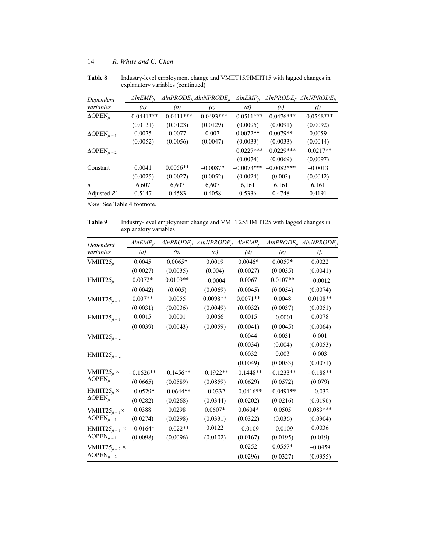| Dependent                        | $\triangle$ lnEMP <sub>it</sub> |              | $\triangle$ lnPRODE <sub>it</sub> $\triangle$ lnNPRODE <sub>it</sub> | $\triangle$ lnEMP <sub>it</sub> |              | $\triangle$ lnPRODE <sub>it</sub> $\triangle$ lnNPRODE <sub>it</sub> |
|----------------------------------|---------------------------------|--------------|----------------------------------------------------------------------|---------------------------------|--------------|----------------------------------------------------------------------|
| variables                        | (a)                             | (b)          | (c)                                                                  | (d)                             | (e)          | O)                                                                   |
| $\Delta$ OPEN <sub>it</sub>      | $-0.0441$ ***                   | $-0.0411***$ | $-0.0493***$                                                         | $-0.0511***$                    | $-0.0476***$ | $-0.0568***$                                                         |
|                                  | (0.0131)                        | (0.0123)     | (0.0129)                                                             | (0.0095)                        | (0.0091)     | (0.0092)                                                             |
| $\triangle$ OPEN <sub>jt-1</sub> | 0.0075                          | 0.0077       | 0.007                                                                | $0.0072**$                      | $0.0079**$   | 0.0059                                                               |
|                                  | (0.0052)                        | (0.0056)     | (0.0047)                                                             | (0.0033)                        | (0.0033)     | (0.0044)                                                             |
| $\Delta$ OPEN <sub>jt-2</sub>    |                                 |              |                                                                      | $-0.0227***$                    | $-0.0229***$ | $-0.0217**$                                                          |
|                                  |                                 |              |                                                                      | (0.0074)                        | (0.0069)     | (0.0097)                                                             |
| Constant                         | 0.0041                          | $0.0056**$   | $-0.0087*$                                                           | $-0.0073***$                    | $-0.0082***$ | $-0.0013$                                                            |
|                                  | (0.0025)                        | (0.0027)     | (0.0052)                                                             | (0.0024)                        | (0.003)      | (0.0042)                                                             |
| n                                | 6,607                           | 6,607        | 6,607                                                                | 6,161                           | 6,161        | 6,161                                                                |
| Adjusted $R^2$                   | 0.5147                          | 0.4583       | 0.4058                                                               | 0.5336                          | 0.4748       | 0.4191                                                               |

**Table 8** Industry-level employment change and VMIIT15/HMIIT15 with lagged changes in explanatory variables (continued)

*Note*: See Table 4 footnote.

**Table 9** Industry-level employment change and VMIIT25/HMIIT25 with lagged changes in explanatory variables

| Dependent<br>variables          | $\triangle$ lnEMP <sub>it</sub> |             | $\triangle$ InPRODE <sub>it</sub> $\triangle$ InNPRODE <sub>it</sub> $\triangle$ InEMP <sub>it</sub> |             |             | $\triangle$ lnPRODE <sub>it</sub> $\triangle$ lnNPRODE <sub>it</sub> |
|---------------------------------|---------------------------------|-------------|------------------------------------------------------------------------------------------------------|-------------|-------------|----------------------------------------------------------------------|
|                                 | (a)                             | (b)         | (c)                                                                                                  | (d)         | (e)         | $\theta$                                                             |
| VMIIT25 $_{it}$                 | 0.0045                          | $0.0065*$   | 0.0019                                                                                               | $0.0046*$   | $0.0059*$   | 0.0022                                                               |
|                                 | (0.0027)                        | (0.0035)    | (0.004)                                                                                              | (0.0027)    | (0.0035)    | (0.0041)                                                             |
| HMIIT25 $_{it}$                 | $0.0072*$                       | $0.0109**$  | $-0.0004$                                                                                            | 0.0067      | $0.0107**$  | $-0.0012$                                                            |
|                                 | (0.0042)                        | (0.005)     | (0.0069)                                                                                             | (0.0045)    | (0.0054)    | (0.0074)                                                             |
| VMIIT25 $j_{t-1}$               | $0.007**$                       | 0.0055      | $0.0098**$                                                                                           | $0.0071**$  | 0.0048      | $0.0108**$                                                           |
|                                 | (0.0031)                        | (0.0036)    | (0.0049)                                                                                             | (0.0032)    | (0.0037)    | (0.0051)                                                             |
| HMIIT25 $j_{t-1}$               | 0.0015                          | 0.0001      | 0.0066                                                                                               | 0.0015      | $-0.0001$   | 0.0078                                                               |
|                                 | (0.0039)                        | (0.0043)    | (0.0059)                                                                                             | (0.0041)    | (0.0045)    | (0.0064)                                                             |
| VMIIT25 $_{it-2}$               |                                 |             |                                                                                                      | 0.0044      | 0.0031      | 0.001                                                                |
|                                 |                                 |             |                                                                                                      | (0.0034)    | (0.004)     | (0.0053)                                                             |
| HMIIT25 $_{it-2}$               |                                 |             |                                                                                                      | 0.0032      | 0.003       | 0.003                                                                |
|                                 |                                 |             |                                                                                                      | (0.0049)    | (0.0053)    | (0.0071)                                                             |
| VMIIT25 $_{it}$ ×               | $-0.1626**$                     | $-0.1456**$ | $-0.1922**$                                                                                          | $-0.1448**$ | $-0.1233**$ | $-0.188**$                                                           |
| $\Delta$ OPEN <sub>it</sub>     | (0.0665)                        | (0.0589)    | (0.0859)                                                                                             | (0.0629)    | (0.0572)    | (0.079)                                                              |
| HMIIT25 $i_t$ ×                 | $-0.0529*$                      | $-0.0644**$ | $-0.0332$                                                                                            | $-0.0416**$ | $-0.0491**$ | $-0.032$                                                             |
| $\Delta$ OPEN <sub>it</sub>     | (0.0282)                        | (0.0268)    | (0.0344)                                                                                             | (0.0202)    | (0.0216)    | (0.0196)                                                             |
| VMIIT25 $_{it-1}$ ×             | 0.0388                          | 0.0298      | $0.0607*$                                                                                            | $0.0604*$   | 0.0505      | $0.083***$                                                           |
| $\Delta$ OPEN <sub>jt – 1</sub> | (0.0274)                        | (0.0298)    | (0.0331)                                                                                             | (0.0322)    | (0.036)     | (0.0304)                                                             |
| HMIIT25 $j_{t-1}$ ×             | $-0.0164*$                      | $-0.022**$  | 0.0122                                                                                               | $-0.0109$   | $-0.0109$   | 0.0036                                                               |
| $\Delta$ OPEN <sub>jt – 1</sub> | (0.0098)                        | (0.0096)    | (0.0102)                                                                                             | (0.0167)    | (0.0195)    | (0.019)                                                              |
| VMIIT25 $j_{t-2}$ ×             |                                 |             |                                                                                                      | 0.0252      | $0.0557*$   | $-0.0459$                                                            |
| $\Delta {\rm OPEN}_{jt-2}$      |                                 |             |                                                                                                      | (0.0296)    | (0.0327)    | (0.0355)                                                             |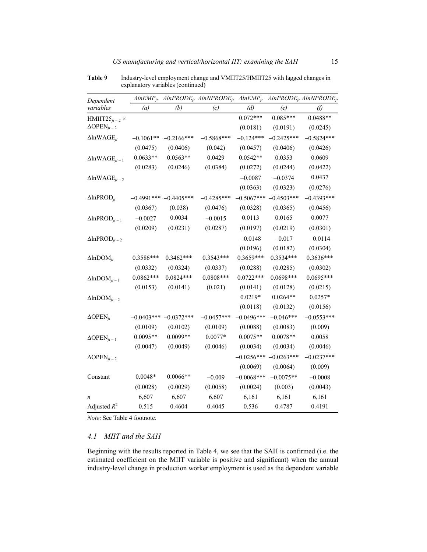| Dependent<br>variables                        | $\triangle$ lnEMP <sub>it</sub> |              | $\triangle$ InPRODE <sub>jt</sub> $\triangle$ InNPRODE <sub>jt</sub> $\triangle$ InEMP <sub>it</sub> |              |              | $\triangle InPRODE_{jt} \triangle InNPRODE_{jt}$ |
|-----------------------------------------------|---------------------------------|--------------|------------------------------------------------------------------------------------------------------|--------------|--------------|--------------------------------------------------|
|                                               | (a)                             | (b)          | (c)                                                                                                  | (d)          | (e)          | $\varnothing$                                    |
| HMIIT25 $_{it-2}$ ×                           |                                 |              |                                                                                                      | $0.072***$   | $0.085***$   | $0.0488**$                                       |
| $\Delta$ OPEN <sub>jt-2</sub>                 |                                 |              |                                                                                                      | (0.0181)     | (0.0191)     | (0.0245)                                         |
| $\Delta$ lnWAGE <sub>it</sub>                 | $-0.1061**$                     | $-0.2166***$ | $-0.5868***$                                                                                         | $-0.124***$  | $-0.2425***$ | $-0.5824***$                                     |
|                                               | (0.0475)                        | (0.0406)     | (0.042)                                                                                              | (0.0457)     | (0.0406)     | (0.0426)                                         |
| $\Delta$ lnWAGE <sub>it-1</sub>               | $0.0633**$                      | $0.0563**$   | 0.0429                                                                                               | $0.0542**$   | 0.0353       | 0.0609                                           |
|                                               | (0.0283)                        | (0.0246)     | (0.0384)                                                                                             | (0.0272)     | (0.0244)     | (0.0422)                                         |
| $\Delta$ lnWAGE <sub>jt-2</sub>               |                                 |              |                                                                                                      | $-0.0087$    | $-0.0374$    | 0.0437                                           |
|                                               |                                 |              |                                                                                                      | (0.0363)     | (0.0323)     | (0.0276)                                         |
| $\Delta$ lnPROD <sub>it</sub>                 | $-0.4991***$                    | $-0.4405***$ | $-0.4285***$                                                                                         | $-0.5067***$ | $-0.4503***$ | $-0.4393***$                                     |
|                                               | (0.0367)                        | (0.038)      | (0.0476)                                                                                             | (0.0328)     | (0.0365)     | (0.0456)                                         |
| $\Delta$ lnPROD <sub>it-1</sub>               | $-0.0027$                       | 0.0034       | $-0.0015$                                                                                            | 0.0113       | 0.0165       | 0.0077                                           |
|                                               | (0.0209)                        | (0.0231)     | (0.0287)                                                                                             | (0.0197)     | (0.0219)     | (0.0301)                                         |
| $\Delta$ lnPROD <sub>it-2</sub>               |                                 |              |                                                                                                      | $-0.0148$    | $-0.017$     | $-0.0114$                                        |
|                                               |                                 |              |                                                                                                      | (0.0196)     | (0.0182)     | (0.0304)                                         |
| $\Delta$ lnDOM <sub>it</sub>                  | 0.3586***                       | $0.3462***$  | $0.3543***$                                                                                          | $0.3659***$  | $0.3534***$  | 0.3636***                                        |
|                                               | (0.0332)                        | (0.0324)     | (0.0337)                                                                                             | (0.0288)     | (0.0285)     | (0.0302)                                         |
| $\Delta$ ln $DOM_{jt-1}$                      | $0.0862***$                     | $0.0824***$  | $0.0808***$                                                                                          | $0.0722***$  | $0.0698***$  | $0.0695***$                                      |
|                                               | (0.0153)                        | (0.0141)     | (0.021)                                                                                              | (0.0141)     | (0.0128)     | (0.0215)                                         |
| $\Delta$ ln $DOM_{jt-2}$                      |                                 |              |                                                                                                      | $0.0219*$    | $0.0264**$   | $0.0257*$                                        |
|                                               |                                 |              |                                                                                                      | (0.0118)     | (0.0132)     | (0.0156)                                         |
| $\Delta$ OPEN <sub>it</sub>                   | $-0.0403***$                    | $-0.0372***$ | $-0.0457***$                                                                                         | $-0.0496***$ | $-0.046***$  | $-0.0553***$                                     |
|                                               | (0.0109)                        | (0.0102)     | (0.0109)                                                                                             | (0.0088)     | (0.0083)     | (0.009)                                          |
| $\triangle$ OPEN <sub><math>it-1</math></sub> | $0.0095**$                      | 0.0099**     | $0.0077*$                                                                                            | $0.0075**$   | $0.0078**$   | 0.0058                                           |
|                                               | (0.0047)                        | (0.0049)     | (0.0046)                                                                                             | (0.0034)     | (0.0034)     | (0.0046)                                         |
| $\Delta$ OPEN <sub>jt-2</sub>                 |                                 |              |                                                                                                      | $-0.0256***$ | $-0.0263***$ | $-0.0237***$                                     |
|                                               |                                 |              |                                                                                                      | (0.0069)     | (0.0064)     | (0.009)                                          |
| Constant                                      | $0.0048*$                       | $0.0066**$   | $-0.009$                                                                                             | $-0.0068***$ | $-0.0075**$  | $-0.0008$                                        |
|                                               | (0.0028)                        | (0.0029)     | (0.0058)                                                                                             | (0.0024)     | (0.003)      | (0.0043)                                         |
| $\boldsymbol{n}$                              | 6,607                           | 6,607        | 6,607                                                                                                | 6,161        | 6,161        | 6,161                                            |
| Adjusted $R^2$                                | 0.515                           | 0.4604       | 0.4045                                                                                               | 0.536        | 0.4787       | 0.4191                                           |

**Table 9** Industry-level employment change and VMIIT25/HMIIT25 with lagged changes in explanatory variables (continued)

*Note*: See Table 4 footnote.

#### *4.1 MIIT and the SAH*

Beginning with the results reported in Table 4, we see that the SAH is confirmed (i.e. the estimated coefficient on the MIIT variable is positive and significant) when the annual industry-level change in production worker employment is used as the dependent variable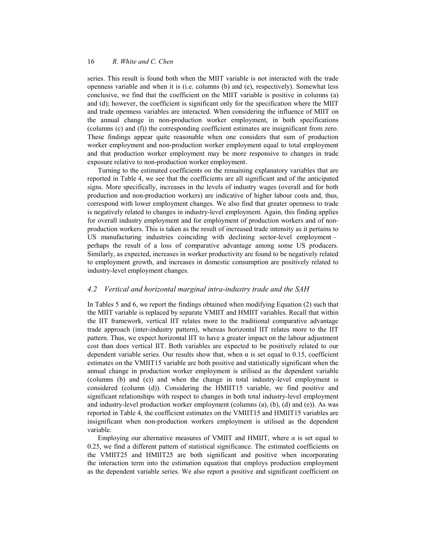series. This result is found both when the MIIT variable is not interacted with the trade openness variable and when it is (i.e. columns (b) and (e), respectively). Somewhat less conclusive, we find that the coefficient on the MIIT variable is positive in columns (a) and (d); however, the coefficient is significant only for the specification where the MIIT and trade openness variables are interacted. When considering the influence of MIIT on the annual change in non-production worker employment, in both specifications (columns (c) and (f)) the corresponding coefficient estimates are insignificant from zero. These findings appear quite reasonable when one considers that sum of production worker employment and non-production worker employment equal to total employment and that production worker employment may be more responsive to changes in trade exposure relative to non-production worker employment.

Turning to the estimated coefficients on the remaining explanatory variables that are reported in Table 4, we see that the coefficients are all significant and of the anticipated signs. More specifically, increases in the levels of industry wages (overall and for both production and non-production workers) are indicative of higher labour costs and, thus, correspond with lower employment changes. We also find that greater openness to trade is negatively related to changes in industry-level employment. Again, this finding applies for overall industry employment and for employment of production workers and of nonproduction workers. This is taken as the result of increased trade intensity as it pertains to US manufacturing industries coinciding with declining sector-level employment – perhaps the result of a loss of comparative advantage among some US producers. Similarly, as expected, increases in worker productivity are found to be negatively related to employment growth, and increases in domestic consumption are positively related to industry-level employment changes.

#### *4.2 Vertical and horizontal marginal intra-industry trade and the SAH*

In Tables 5 and 6, we report the findings obtained when modifying Equation (2) such that the MIIT variable is replaced by separate VMIIT and HMIIT variables. Recall that within the IIT framework, vertical IIT relates more to the traditional comparative advantage trade approach (inter-industry pattern), whereas horizontal IIT relates more to the IIT pattern. Thus, we expect horizontal IIT to have a greater impact on the labour adjustment cost than does vertical IIT. Both variables are expected to be positively related to our dependent variable series. Our results show that, when  $\alpha$  is set equal to 0.15, coefficient estimates on the VMIIT15 variable are both positive and statistically significant when the annual change in production worker employment is utilised as the dependent variable (columns (b) and (e)) and when the change in total industry-level employment is considered (column (d)). Considering the HMIIT15 variable, we find positive and significant relationships with respect to changes in both total industry-level employment and industry-level production worker employment (columns  $(a)$ ,  $(b)$ ,  $(d)$  and  $(e)$ ). As was reported in Table 4, the coefficient estimates on the VMIIT15 and HMIIT15 variables are insignificant when non-production workers employment is utilised as the dependent variable.

Employing our alternative measures of VMIIT and HMIIT, where  $\alpha$  is set equal to 0.25, we find a different pattern of statistical significance. The estimated coefficients on the VMIIT25 and HMIIT25 are both significant and positive when incorporating the interaction term into the estimation equation that employs production employment as the dependent variable series. We also report a positive and significant coefficient on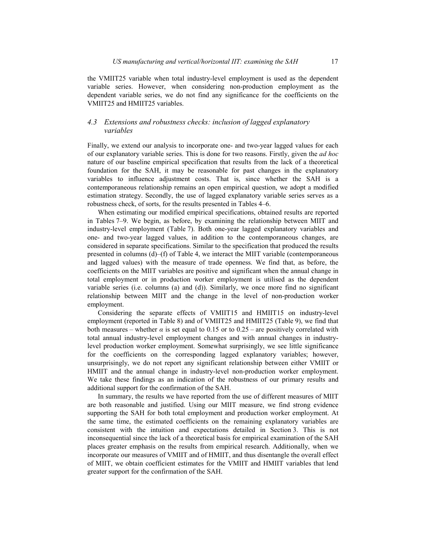the VMIIT25 variable when total industry-level employment is used as the dependent variable series. However, when considering non-production employment as the dependent variable series, we do not find any significance for the coefficients on the VMIIT25 and HMIIT25 variables.

#### *4.3 Extensions and robustness checks: inclusion of lagged explanatory variables*

Finally, we extend our analysis to incorporate one- and two-year lagged values for each of our explanatory variable series. This is done for two reasons. Firstly, given the *ad hoc* nature of our baseline empirical specification that results from the lack of a theoretical foundation for the SAH, it may be reasonable for past changes in the explanatory variables to influence adjustment costs. That is, since whether the SAH is a contemporaneous relationship remains an open empirical question, we adopt a modified estimation strategy. Secondly, the use of lagged explanatory variable series serves as a robustness check, of sorts, for the results presented in Tables 4–6.

When estimating our modified empirical specifications, obtained results are reported in Tables 7–9. We begin, as before, by examining the relationship between MIIT and industry-level employment (Table 7). Both one-year lagged explanatory variables and one- and two-year lagged values, in addition to the contemporaneous changes, are considered in separate specifications. Similar to the specification that produced the results presented in columns  $(d)$ – $(f)$  of Table 4, we interact the MIIT variable (contemporaneous and lagged values) with the measure of trade openness. We find that, as before, the coefficients on the MIIT variables are positive and significant when the annual change in total employment or in production worker employment is utilised as the dependent variable series (i.e. columns (a) and (d)). Similarly, we once more find no significant relationship between MIIT and the change in the level of non-production worker employment.

Considering the separate effects of VMIIT15 and HMIIT15 on industry-level employment (reported in Table 8) and of VMIIT25 and HMIIT25 (Table 9), we find that both measures – whether  $\alpha$  is set equal to 0.15 or to 0.25 – are positively correlated with total annual industry-level employment changes and with annual changes in industrylevel production worker employment. Somewhat surprisingly, we see little significance for the coefficients on the corresponding lagged explanatory variables; however, unsurprisingly, we do not report any significant relationship between either VMIIT or HMIIT and the annual change in industry-level non-production worker employment. We take these findings as an indication of the robustness of our primary results and additional support for the confirmation of the SAH.

In summary, the results we have reported from the use of different measures of MIIT are both reasonable and justified. Using our MIIT measure, we find strong evidence supporting the SAH for both total employment and production worker employment. At the same time, the estimated coefficients on the remaining explanatory variables are consistent with the intuition and expectations detailed in Section 3. This is not inconsequential since the lack of a theoretical basis for empirical examination of the SAH places greater emphasis on the results from empirical research. Additionally, when we incorporate our measures of VMIIT and of HMIIT, and thus disentangle the overall effect of MIIT, we obtain coefficient estimates for the VMIIT and HMIIT variables that lend greater support for the confirmation of the SAH.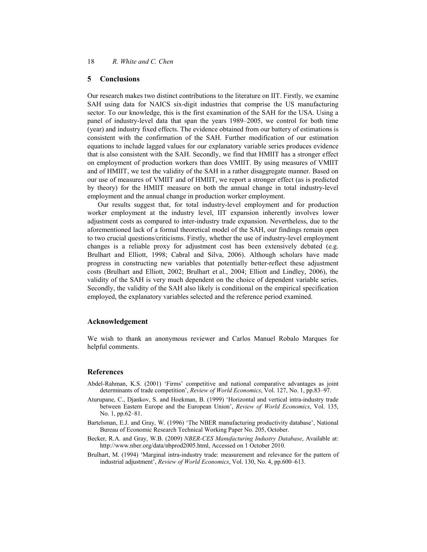#### **5 Conclusions**

Our research makes two distinct contributions to the literature on IIT. Firstly, we examine SAH using data for NAICS six-digit industries that comprise the US manufacturing sector. To our knowledge, this is the first examination of the SAH for the USA. Using a panel of industry-level data that span the years 1989–2005, we control for both time (year) and industry fixed effects. The evidence obtained from our battery of estimations is consistent with the confirmation of the SAH. Further modification of our estimation equations to include lagged values for our explanatory variable series produces evidence that is also consistent with the SAH. Secondly, we find that HMIIT has a stronger effect on employment of production workers than does VMIIT. By using measures of VMIIT and of HMIIT, we test the validity of the SAH in a rather disaggregate manner. Based on our use of measures of VMIIT and of HMIIT, we report a stronger effect (as is predicted by theory) for the HMIIT measure on both the annual change in total industry-level employment and the annual change in production worker employment.

Our results suggest that, for total industry-level employment and for production worker employment at the industry level, IIT expansion inherently involves lower adjustment costs as compared to inter-industry trade expansion. Nevertheless, due to the aforementioned lack of a formal theoretical model of the SAH, our findings remain open to two crucial questions/criticisms. Firstly, whether the use of industry-level employment changes is a reliable proxy for adjustment cost has been extensively debated (e.g. Brulhart and Elliott, 1998; Cabral and Silva, 2006). Although scholars have made progress in constructing new variables that potentially better-reflect these adjustment costs (Brulhart and Elliott, 2002; Brulhart et al., 2004; Elliott and Lindley, 2006), the validity of the SAH is very much dependent on the choice of dependent variable series. Secondly, the validity of the SAH also likely is conditional on the empirical specification employed, the explanatory variables selected and the reference period examined.

#### **Acknowledgement**

We wish to thank an anonymous reviewer and Carlos Manuel Robalo Marques for helpful comments.

#### **References**

- Abdel-Rahman, K.S. (2001) 'Firms' competitive and national comparative advantages as joint determinants of trade competition', *Review of World Economics*, Vol. 127, No. 1, pp.83–97.
- Aturupane, C., Djankov, S. and Hoekman, B. (1999) 'Horizontal and vertical intra-industry trade between Eastern Europe and the European Union', *Review of World Economics*, Vol. 135, No. 1, pp.62–81.
- Bartelsman, E.J. and Gray, W. (1996) 'The NBER manufacturing productivity database', National Bureau of Economic Research Technical Working Paper No. 205, October.
- Becker, R.A. and Gray, W.B. (2009) *NBER-CES Manufacturing Industry Database*, Available at: http://www.nber.org/data/nbprod2005.html, Accessed on 1 October 2010.
- Brulhart, M. (1994) 'Marginal intra-industry trade: measurement and relevance for the pattern of industrial adjustment', *Review of World Economics*, Vol. 130, No. 4, pp.600–613.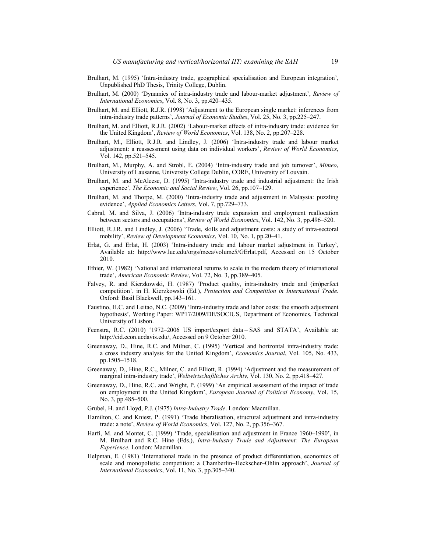- Brulhart, M. (1995) 'Intra-industry trade, geographical specialisation and European integration', Unpublished PhD Thesis, Trinity College, Dublin.
- Brulhart, M. (2000) 'Dynamics of intra-industry trade and labour-market adjustment', *Review of International Economics*, Vol. 8, No. 3, pp.420–435.
- Brulhart, M. and Elliott, R.J.R. (1998) 'Adjustment to the European single market: inferences from intra-industry trade patterns', *Journal of Economic Studies*, Vol. 25, No. 3, pp.225–247.
- Brulhart, M. and Elliott, R.J.R. (2002) 'Labour-market effects of intra-industry trade: evidence for the United Kingdom', *Review of World Economics*, Vol. 138, No. 2, pp.207–228.
- Brulhart, M., Elliott, R.J.R. and Lindley, J. (2006) 'Intra-industry trade and labour market adjustment: a reassessment using data on individual workers', *Review of World Economics*, Vol. 142, pp.521–545.
- Brulhart, M., Murphy, A. and Strobl, E. (2004) 'Intra-industry trade and job turnover', *Mimeo*, University of Lausanne, University College Dublin, CORE, University of Louvain.
- Brulhart, M. and McAleese, D. (1995) 'Intra-industry trade and industrial adjustment: the Irish experience', *The Economic and Social Review*, Vol. 26, pp.107–129.
- Brulhart, M. and Thorpe, M. (2000) 'Intra-industry trade and adjustment in Malaysia: puzzling evidence', *Applied Economics Letters*, Vol. 7, pp.729–733.
- Cabral, M. and Silva, J. (2006) 'Intra-industry trade expansion and employment reallocation between sectors and occupations', *Review of World Economics*, Vol. 142, No. 3, pp.496–520.
- Elliott, R.J.R. and Lindley, J. (2006) 'Trade, skills and adjustment costs: a study of intra-sectoral mobility', *Review of Development Economics*, Vol. 10, No. 1, pp.20–41.
- Erlat, G. and Erlat, H. (2003) 'Intra-industry trade and labour market adjustment in Turkey', Available at: http://www.luc.edu/orgs/meea/volume5/GErlat.pdf, Accessed on 15 October 2010.
- Ethier, W. (1982) 'National and international returns to scale in the modern theory of international trade', *American Economic Review*, Vol. 72, No. 3, pp.389–405.
- Falvey, R. and Kierzkowski, H. (1987) 'Product quality, intra-industry trade and (im)perfect competition', in H. Kierzkowski (Ed.), *Protection and Competition in International Trade*. Oxford: Basil Blackwell, pp.143–161.
- Faustino, H.C. and Leitao, N.C. (2009) 'Intra-industry trade and labor costs: the smooth adjustment hypothesis', Working Paper: WP17/2009/DE/SOCIUS, Department of Economics, Technical University of Lisbon.
- Feenstra, R.C. (2010) '1972–2006 US import/export data SAS and STATA', Available at: http://cid.econ.ucdavis.edu/, Accessed on 9 October 2010.
- Greenaway, D., Hine, R.C. and Milner, C. (1995) 'Vertical and horizontal intra-industry trade: a cross industry analysis for the United Kingdom', *Economics Journal*, Vol. 105, No. 433, pp.1505–1518.
- Greenaway, D., Hine, R.C., Milner, C. and Elliott, R. (1994) 'Adjustment and the measurement of marginal intra-industry trade', *Weltwirtschaftliches Archiv*, Vol. 130, No. 2, pp.418–427.
- Greenaway, D., Hine, R.C. and Wright, P. (1999) 'An empirical assessment of the impact of trade on employment in the United Kingdom', *European Journal of Political Economy*, Vol. 15, No. 3, pp.485–500.
- Grubel, H. and Lloyd, P.J. (1975) *Intra-Industry Trade*. London: Macmillan.
- Hamilton, C. and Kniest, P. (1991) 'Trade liberalisation, structural adjustment and intra-industry trade: a note', *Review of World Economics*, Vol. 127, No. 2, pp.356–367.
- Harfi, M. and Montet, C. (1999) 'Trade, specialisation and adjustment in France 1960–1990', in M. Brulhart and R.C. Hine (Eds.), *Intra-Industry Trade and Adjustment: The European Experience*. London: Macmillan.
- Helpman, E. (1981) 'International trade in the presence of product differentiation, economics of scale and monopolistic competition: a Chamberlin–Heckscher–Ohlin approach', *Journal of International Economics*, Vol. 11, No. 3, pp.305–340.